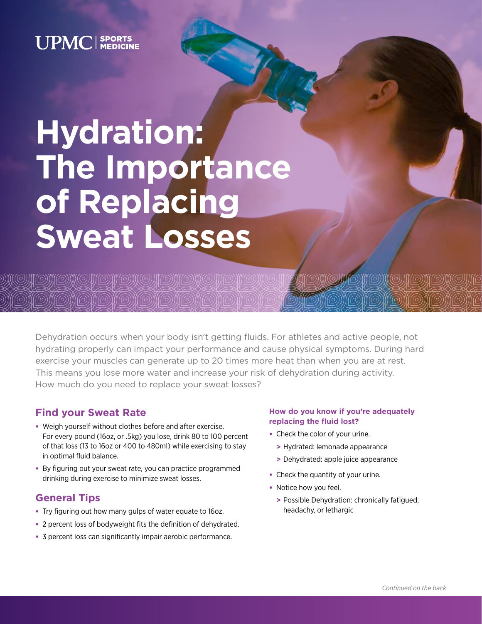# **UPMC** SPORTS

# **Hydration: The Importance of Replacing Sweat Losses**

III(@)}}}{@}}}{@}}}{@}}{#@}}{#@}}{#@}}{@}}{#@}}{#@}}{#@}}{#@}}

Dehydration occurs when your body isn't getting fluids. For athletes and active people, not hydrating properly can impact your performance and cause physical symptoms. During hard exercise your muscles can generate up to 20 times more heat than when you are at rest. This means you lose more water and increase your risk of dehydration during activity. How much do you need to replace your sweat losses?

# **Find your Sweat Rate**

- Weigh yourself without clothes before and after exercise. For every pound (16oz, or .5kg) you lose, drink 80 to 100 percent of that loss (13 to 16oz or 400 to 480ml) while exercising to stay in optimal fluid balance.
- By figuring out your sweat rate, you can practice programmed drinking during exercise to minimize sweat losses.

# **General Tips**

- Try figuring out how many gulps of water equate to 16oz.
- 2 percent loss of bodyweight fits the definition of dehydrated.
- 3 percent loss can significantly impair aerobic performance.

### **How do you know if you're adequately replacing the fluid lost?**

- Check the color of your urine.
	- **>** Hydrated: lemonade appearance
	- **>** Dehydrated: apple juice appearance
- Check the quantity of your urine.
- Notice how you feel.
	- **>** Possible Dehydration: chronically fatigued, headachy, or lethargic